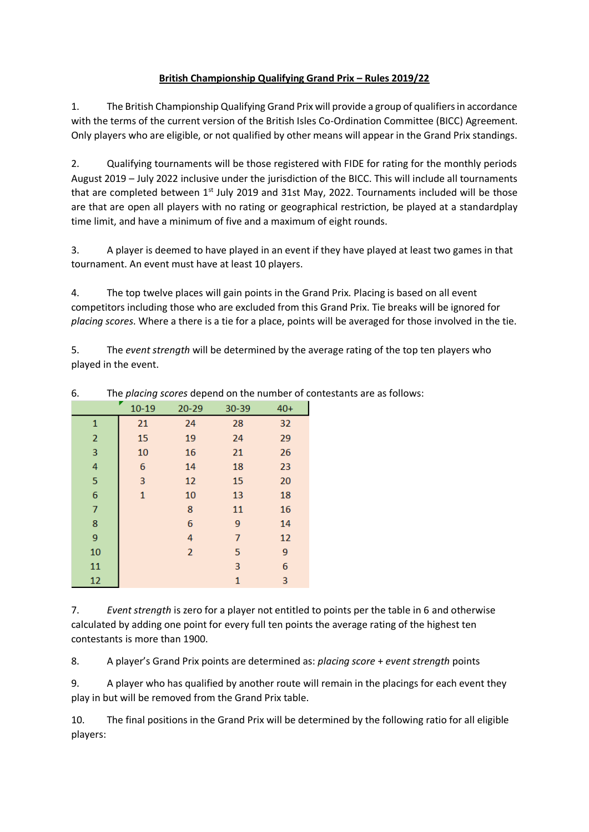## **British Championship Qualifying Grand Prix – Rules 2019/22**

1. The British Championship Qualifying Grand Prix will provide a group of qualifiers in accordance with the terms of the current version of the British Isles Co-Ordination Committee (BICC) Agreement. Only players who are eligible, or not qualified by other means will appear in the Grand Prix standings.

2. Qualifying tournaments will be those registered with FIDE for rating for the monthly periods August 2019 – July 2022 inclusive under the jurisdiction of the BICC. This will include all tournaments that are completed between 1<sup>st</sup> July 2019 and 31st May, 2022. Tournaments included will be those are that are open all players with no rating or geographical restriction, be played at a standardplay time limit, and have a minimum of five and a maximum of eight rounds.

3. A player is deemed to have played in an event if they have played at least two games in that tournament. An event must have at least 10 players.

4. The top twelve places will gain points in the Grand Prix. Placing is based on all event competitors including those who are excluded from this Grand Prix. Tie breaks will be ignored for *placing scores*. Where a there is a tie for a place, points will be averaged for those involved in the tie.

5. The *event strength* will be determined by the average rating of the top ten players who played in the event.

| $10 - 19$<br>$20 - 29$<br>30-39<br>$40+$<br>21<br>32<br>24<br>28<br>1<br>$\overline{2}$<br>15<br>29<br>19<br>24<br>3<br>10<br>26<br>16<br>21<br>4<br>23<br>14<br>18<br>6<br>5<br>3<br>20<br>12<br>15<br>6<br>18<br>$\mathbf{1}$<br>10<br>13<br>7<br>8<br>16<br>11<br>8<br>6<br>14<br>9<br>9<br>4<br>12<br>7<br>9<br>$\overline{2}$<br>10<br>5<br>6<br>11<br>3<br>12<br>3<br>$\mathbf{1}$ | . ב<br>г |  |  |  |  |
|------------------------------------------------------------------------------------------------------------------------------------------------------------------------------------------------------------------------------------------------------------------------------------------------------------------------------------------------------------------------------------------|----------|--|--|--|--|
|                                                                                                                                                                                                                                                                                                                                                                                          |          |  |  |  |  |
|                                                                                                                                                                                                                                                                                                                                                                                          |          |  |  |  |  |
|                                                                                                                                                                                                                                                                                                                                                                                          |          |  |  |  |  |
|                                                                                                                                                                                                                                                                                                                                                                                          |          |  |  |  |  |
|                                                                                                                                                                                                                                                                                                                                                                                          |          |  |  |  |  |
|                                                                                                                                                                                                                                                                                                                                                                                          |          |  |  |  |  |
|                                                                                                                                                                                                                                                                                                                                                                                          |          |  |  |  |  |
|                                                                                                                                                                                                                                                                                                                                                                                          |          |  |  |  |  |
|                                                                                                                                                                                                                                                                                                                                                                                          |          |  |  |  |  |
|                                                                                                                                                                                                                                                                                                                                                                                          |          |  |  |  |  |
|                                                                                                                                                                                                                                                                                                                                                                                          |          |  |  |  |  |
|                                                                                                                                                                                                                                                                                                                                                                                          |          |  |  |  |  |
|                                                                                                                                                                                                                                                                                                                                                                                          |          |  |  |  |  |

6. The *placing scores* depend on the number of contestants are as follows:

7. *Event strength* is zero for a player not entitled to points per the table in 6 and otherwise calculated by adding one point for every full ten points the average rating of the highest ten contestants is more than 1900.

8. A player's Grand Prix points are determined as: *placing score* + *event strength* points

9. A player who has qualified by another route will remain in the placings for each event they play in but will be removed from the Grand Prix table.

10. The final positions in the Grand Prix will be determined by the following ratio for all eligible players: